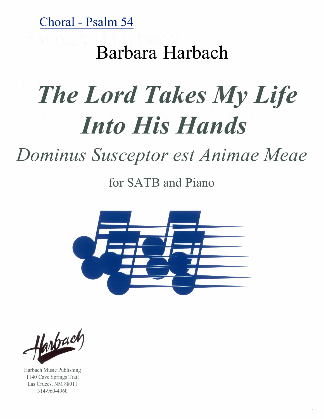Choral - Psalm 54

## Barbara Harbach

## *The Lord Takes My Life Into His Hands*

## *Dominus Susceptor est Animae Meae*

for SATB and Piano



Harbach

Harbach Music Publishing 1140 Cave Springs Trail Las Cruces, NM 88011 314-960-4960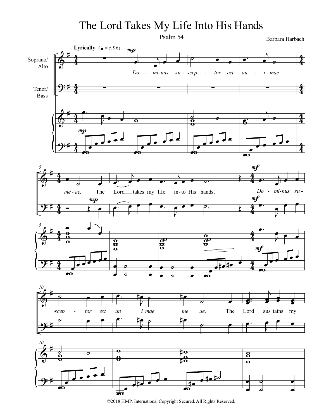## The Lord Takes My Life Into His Hands



©2018 HMP. International Copyright Secured. All Rights Reserved.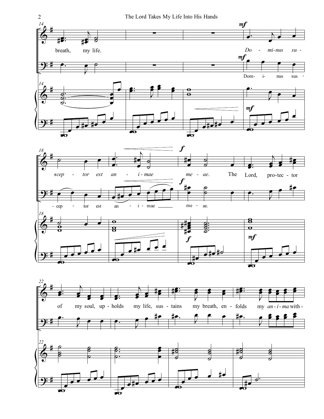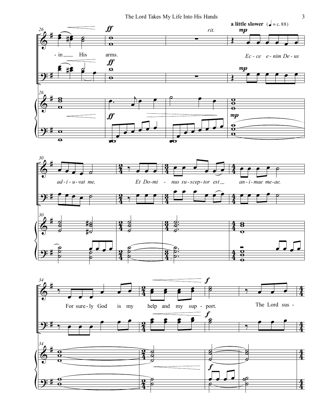

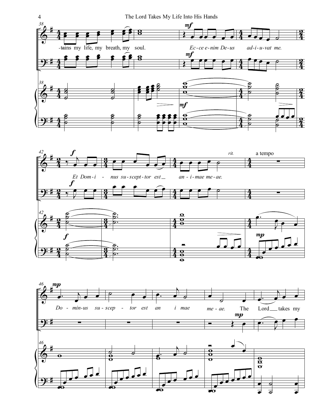